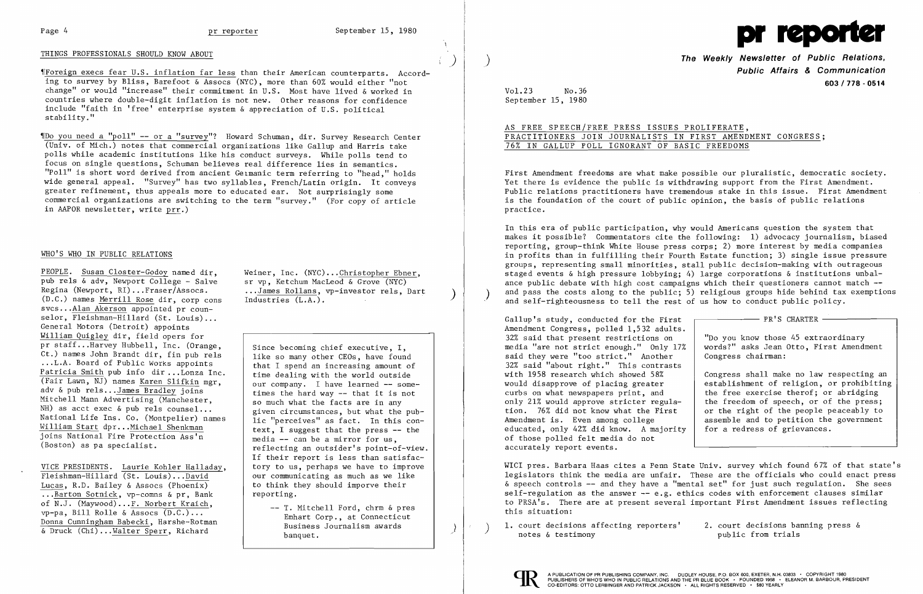## THINGS PROFESSIONALS SHOULD KNOW ABOUT )

~rForeign execs fear U.S. inflation far less than their American counterparts. According to survey by Bliss, Barefoot & Assocs (NYC), more than 60% would either "not change" or would "increase" their commitment in U.S. Most have lived & worked in countries where double-digit inflation is not new. Other reasons for confidence include "faith in 'free' enterprise system & appreciation of U.S. political stability."

~IDo you need a "poll" **--** or a "survey"? Howard Schuman, dir. Survey Research Center (Univ. of Mich.) notes that commercial organizations like Gallup and Harris take polls while academic institutions like his conduct surveys. While polls tend to focus on single questions, Schuman believes real difference lies in semantics. "Poll" is short word derived from ancient Germanic term referring to "head," holds wide general appeal. "Survey" has two syllables, French/Latin origin. It conveys greater refinement, thus appeals more to educated ear. Not surprisingly some commercial organizations are switching to the term "survey." (For copy of article in AAPOR newsletter, write prr.)

# WHO'S WHO IN PUBLIC RELATIONS

PEOPLE. Susan Closter-Godoy named dir, Weiner, Inc. (NYC)...Christopher Ebner,<br>pub rels & adv, Newport College - Salve sr vp. Ketchum MacLeod & Grove (NYC) pub rels & adv, Newport College - Salve sr vp, Ketchum MacLeod & Grove (NYC)<br>Regina (Newport, RI)...Fraser/Assocs. ...James Rollans, vp-investor rels, Dart (D.C.) names Merrill Rose dir, corp cons svcs...<u>Alan Akerson</u> appointed pr counselor, Fleishman-Hillard (St. Louis)... General Motors (Detroit) appoints William Quigley dir, field opers for pr staff...Harvey Hubbell, Inc. (Orange, Ct.) names John Brandt dir. fin pub rels The Indeed and of Public Works appoints<br>Patricia Smith pub info dir...Lonza Inc. | that I spend an increasing amount of<br>time dealing with the world outside Patricia Smith pub info dir ...Lonza Inc. (Fair Lawn, NJ) names <u>Karen Slifkin</u> mgr,<br>adv & pub rels...James Bradley joins<br>times the bard your that it is not adv & pub rels...<u>James Bradley</u> joins<br>Mitchell Mann Advertising (Manchester, so much what the facts are in any NH) as acct exec & pub rels counsel...<br>National Life Ins. Co. (Montpelier) names<br>William Start dpr...Michael Shenkman<br>William Start dpr...Michael Shenkman<br>Text I suggest that the press - the  $\frac{w1111am \text{ such that}}{j \text{ o} \text{ in } N}$  of the press in text, I suggest that the press -- the solutional Fire Protection Ass'n

VICE PRESIDENTS. Laurie Kohler Halladay, Fleishman-Hillard (St. Louis)... $\frac{David}{total}$  our communicating as much as we like<br>Lucas. R.D. Bailey & Assocs (Phoenix) to think they should imporve their ... Barton Sotnick, vp-comns & pr, Bank<br>of N.J. (Maywood)...F. Norbert Kraich, of N.J. (Maywood)...F. Norbert Kraich,<br>
vp-pa, Bill Rolle & Assocs (D.C.)...<br>
Donna Cunningham Babecki, Harshe-Rotman<br>
& Druck (Chi)...<u>Walter Sperr</u>, Richard<br>
Business Journalism awards<br>
banquet.

Industries (L.A.).

Since becoming chief executive, I,<br>like so many other CEOs, have found (Boston) as pa specialist.<br>
Fiecting an outsider's point-of-view. If their report is less than satisfac-<br>tory to us, perhaps we have to improve to think they should imporve their reporting.

**The Weekly Newsletter of Public Relations, Public Affairs & Communication 603/778 - 0514** 

In this era of public participation, why would Americans question the system that makes it possible? Commentators cite the following: 1) advocacy journalism, biased reporting, group-think White House press corps; 2) more interest by media companies in profits than in fulfilling their Fourth Estate function; 3) single issue pressure groups, representing small minorities, stall public decision-making with outrageous staged events & high pressure lobbying; 4) large corporations & institutions unbalance public debate with high cost campaigns which their questioners cannot match and pass the costs along to the public; 5) religious groups hide behind tax exemptions and self-righteousness to tell the rest of us how to conduct public policy.



Vol.23 No.36 September 15, 1980

AS FREE SPEECH/FREE PRESS ISSUES PROLIFERATE, PRACTITIONERS JOIN JOURNALISTS IN FIRST AMENDMENT CONGRESS; 76% IN GALLUP POLL IGNORANT OF BASIC FREEDOMS

First Amendment freedoms are what make possible our pluralistic, democratic society. Yet there is evidence the public is withdrawing support from the First Amendment. Public relations practitioners have tremendous stake in this issue. First Amendment is the foundation of the court of public opinion, the basis of public relations practice.

Gallup's study, conducted for the First Amendment Congress, polled 1,532 adults. 32% said that present restrictions on media "are not strict enough." Only 17% said they were "too strict." Another 32% said "about right." This contrasts with 1958 research which showed 58% would disapprove of placing greater curbs on what newspapers print, and only 21% would approve stricter regulation. 76% did not know what the First Amendment is. Even among college educated, only 42% did know. A majority of those polled felt media do not accurately report events.

WICI pres. Barbara Haas cites a Penn State Univ. survey which found 67% of that state's legislators think the media are unfair. These are the officials who could enact press & speech controls **--** and they have a "mental set" for just such regulation. She sees self-regulation as the answer  $--$  e.g. ethics codes with enforcement clauses similar to PRSA's. There are at present several important First Amendment issues reflecting this situation:

1. court decisions affecting reporters' 2. court decisions banning press & <br>notes & testimony public from trials



| "Do you know those 45 extraordinary<br>words?" asks Jean Otto, First Amendment<br>Congress chairman:<br>Congress shall make no law respecting an<br>establishment of religion, or prohibiting<br>the free exercise therof; or abridging<br>the freedom of speech, or of the press;<br>or the right of the people peaceably to<br>assemble and to petition the government | PR'S CHARTER                 |
|--------------------------------------------------------------------------------------------------------------------------------------------------------------------------------------------------------------------------------------------------------------------------------------------------------------------------------------------------------------------------|------------------------------|
|                                                                                                                                                                                                                                                                                                                                                                          |                              |
|                                                                                                                                                                                                                                                                                                                                                                          | for a redress of grievances. |